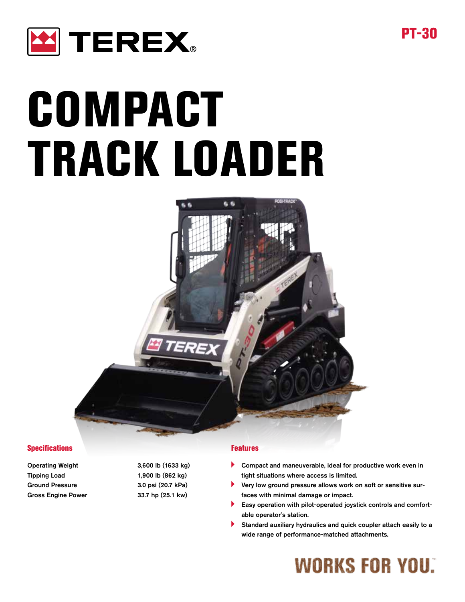

# COMPACT TRACK LOADER



#### **Specifications**

Operating Weight 3,600 lb (1633 kg) Tipping Load 1,900 lb (862 kg) Ground Pressure 3.0 psi (20.7 kPa) Gross Engine Power 33.7 hp (25.1 kw)

#### Features

- Compact and maneuverable, ideal for productive work even in tight situations where access is limited.
- Very low ground pressure allows work on soft or sensitive surfaces with minimal damage or impact.
- Easy operation with pilot-operated joystick controls and comfortable operator's station.
- Standard auxiliary hydraulics and quick coupler attach easily to a wide range of performance-matched attachments.

## **WORKS FOR YOU.**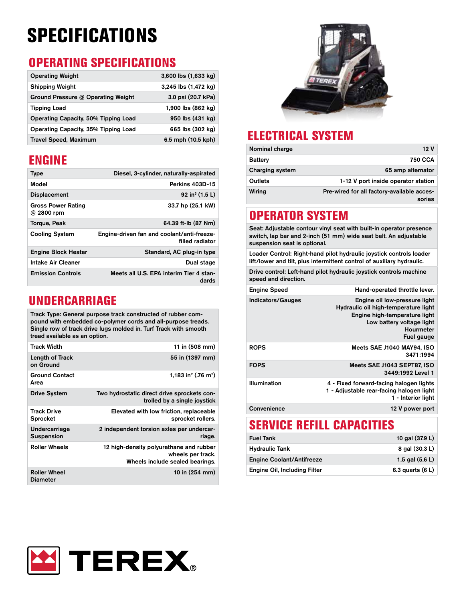## **SPECIFICATIONS**

### OPERATING SPECIFICATIONS

| <b>Operating Weight</b>              | $3,600$ lbs $(1,633$ kg)     |
|--------------------------------------|------------------------------|
| <b>Shipping Weight</b>               | 3,245 lbs (1,472 kg)         |
| Ground Pressure @ Operating Weight   | 3.0 psi (20.7 kPa)           |
| <b>Tipping Load</b>                  | 1,900 lbs $(862 \text{ kg})$ |
| Operating Capacity, 50% Tipping Load | 950 lbs (431 kg)             |
| Operating Capacity, 35% Tipping Load | 665 lbs (302 kg)             |
| <b>Travel Speed, Maximum</b>         | 6.5 mph (10.5 kph)           |

#### ENGINE

| <b>Type</b>                             | Diesel, 3-cylinder, naturally-aspirated                       |
|-----------------------------------------|---------------------------------------------------------------|
| Model                                   | Perkins 403D-15                                               |
| <b>Displacement</b>                     | 92 in <sup>3</sup> $(1.5 L)$                                  |
| <b>Gross Power Rating</b><br>@ 2800 rpm | 33.7 hp (25.1 kW)                                             |
| Torque, Peak                            | 64.39 ft-lb (87 Nm)                                           |
| <b>Cooling System</b>                   | Engine-driven fan and coolant/anti-freeze-<br>filled radiator |
| <b>Engine Block Heater</b>              | Standard, AC plug-in type                                     |
| Intake Air Cleaner                      | Dual stage                                                    |
| <b>Emission Controls</b>                | Meets all U.S. EPA interim Tier 4 stan-<br>dards              |

#### UNDERCARRIAGE

Track Type: General purpose track constructed of rubber compound with embedded co-polymer cords and all-purpose treads. Single row of track drive lugs molded in. Turf Track with smooth tread available as an option.

| Track Width                     | 11 in (508 mm)                                                                                  |
|---------------------------------|-------------------------------------------------------------------------------------------------|
| Length of Track<br>on Ground    | 55 in (1397 mm)                                                                                 |
| <b>Ground Contact</b><br>Area   | 1,183 in <sup>2</sup> (.76 m <sup>2</sup> )                                                     |
| <b>Drive System</b>             | Two hydrostatic direct drive sprockets con-<br>trolled by a single joystick                     |
| Track Drive<br>Sprocket         | Elevated with low friction, replaceable<br>sprocket rollers.                                    |
| Undercarriage<br>Suspension     | 2 independent torsion axles per undercar-<br>riage.                                             |
| <b>Roller Wheels</b>            | 12 high-density polyurethane and rubber<br>wheels per track.<br>Wheels include sealed bearings. |
| <b>Roller Wheel</b><br>Diameter | 10 in (254 mm)                                                                                  |



## ELECTRICAL SYSTEM

| Nominal charge  | 12V                                                  |
|-----------------|------------------------------------------------------|
| <b>Battery</b>  | <b>750 CCA</b>                                       |
| Charging system | 65 amp alternator                                    |
| Outlets         | 1-12 V port inside operator station                  |
| Wiring          | Pre-wired for all factory-available acces-<br>sories |

#### OPERATOR SYSTEM

Seat: Adjustable contour vinyl seat with built-in operator presence switch, lap bar and 2-inch (51 mm) wide seat belt. An adjustable suspension seat is optional.

Loader Control: Right-hand pilot hydraulic joystick controls loader lift/lower and tilt, plus intermittent control of auxiliary hydraulic.

Drive control: Left-hand pilot hydraulic joystick controls machine speed and direction.

| <b>Engine Speed</b> | Hand-operated throttle lever.                                                                                                                                         |
|---------------------|-----------------------------------------------------------------------------------------------------------------------------------------------------------------------|
| Indicators/Gauges   | Engine oil low-pressure light<br>Hydraulic oil high-temperature light<br>Engine high-temperature light<br>Low battery voltage light<br><b>Hourmeter</b><br>Fuel gauge |
| <b>ROPS</b>         | Meets SAE J1040 MAY94, ISO<br>3471:1994                                                                                                                               |
| <b>FOPS</b>         | Meets SAE J1043 SEPT87, ISO<br>3449:1992 Level 1                                                                                                                      |
| Illumination        | 4 - Fixed forward-facing halogen lights<br>1 - Adjustable rear-facing halogen light<br>1 - Interior light                                                             |
| Convenience         | 12 V power port                                                                                                                                                       |
|                     |                                                                                                                                                                       |

#### SERVICE REFILL CAPACITIES

| <b>Fuel Tank</b>                    | 10 gal (37.9 L)    |
|-------------------------------------|--------------------|
| <b>Hydraulic Tank</b>               | 8 gal (30.3 L)     |
| <b>Engine Coolant/Antifreeze</b>    | 1.5 gal $(5.6 L)$  |
| <b>Engine Oil, Including Filter</b> | 6.3 quarts $(6 L)$ |

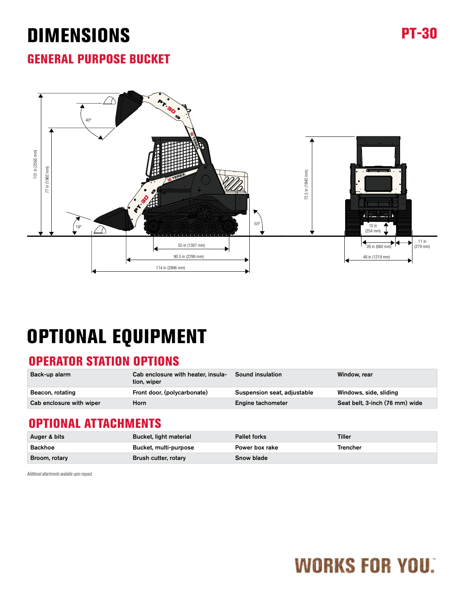## DIMENSIONS PT-30

#### GENERAL PURPOSE BUCKET



## OPTIONAL EQUIPMENT

#### OPERATOR STATION OPTIONS

| Back-up alarm            | Cab enclosure with heater, insula-<br>tion, wiper | <b>Sound insulation</b>     | Window, rear                   |
|--------------------------|---------------------------------------------------|-----------------------------|--------------------------------|
| Beacon, rotating         | Front door, (polycarbonate)                       | Suspension seat, adjustable | Windows, side, sliding         |
| Cab enclosure with wiper | Horn                                              | Engine tachometer           | Seat belt, 3-inch (76 mm) wide |

#### OPTIONAL ATTACHMENTS

| Auger & bits  | Bucket, light material | <b>Pallet forks</b> | Tiller   |
|---------------|------------------------|---------------------|----------|
| Backhoe       | Bucket, multi-purpose  | Power box rake      | Trencher |
| Broom, rotary | Brush cutter, rotary   | Snow blade          |          |

*Additional attachments available upon request.*

# **WORKS FOR YOU.**